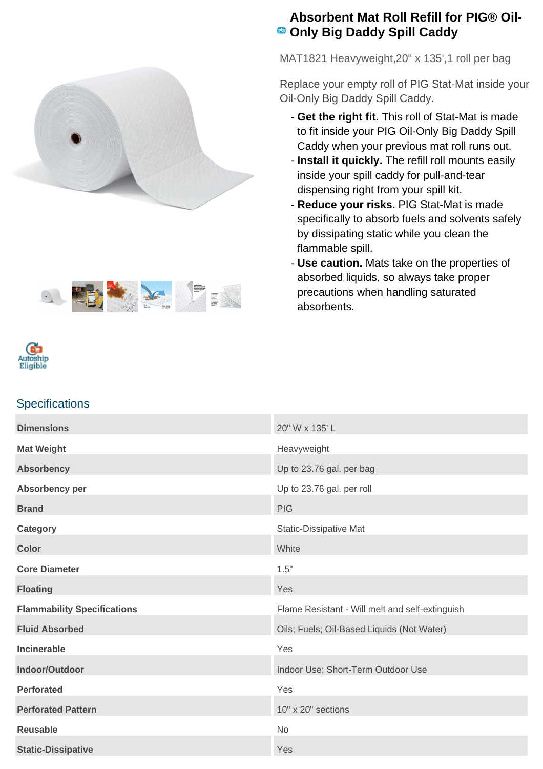



## **Absorbent Mat Roll Refill for PIG® Oil-Only Big Daddy Spill Caddy**

MAT1821 Heavyweight,20" x 135',1 roll per bag

Replace your empty roll of PIG Stat-Mat inside your Oil-Only Big Daddy Spill Caddy.

- **Get the right fit.** This roll of Stat-Mat is made to fit inside your PIG Oil-Only Big Daddy Spill Caddy when your previous mat roll runs out.
- **Install it quickly.** The refill roll mounts easily inside your spill caddy for pull-and-tear dispensing right from your spill kit.
- **Reduce your risks.** PIG Stat-Mat is made specifically to absorb fuels and solvents safely by dissipating static while you clean the flammable spill.
- Use caution. Mats take on the properties of absorbed liquids, so always take proper precautions when handling saturated absorbents.



## **Specifications**

| <b>Dimensions</b>                  | 20" W x 135' L                                  |
|------------------------------------|-------------------------------------------------|
| <b>Mat Weight</b>                  | Heavyweight                                     |
| <b>Absorbency</b>                  | Up to 23.76 gal. per bag                        |
| Absorbency per                     | Up to 23.76 gal. per roll                       |
| <b>Brand</b>                       | <b>PIG</b>                                      |
| Category                           | <b>Static-Dissipative Mat</b>                   |
| <b>Color</b>                       | White                                           |
| <b>Core Diameter</b>               | 1.5"                                            |
| <b>Floating</b>                    | Yes                                             |
| <b>Flammability Specifications</b> | Flame Resistant - Will melt and self-extinguish |
| <b>Fluid Absorbed</b>              | Oils; Fuels; Oil-Based Liquids (Not Water)      |
| Incinerable                        | Yes                                             |
| Indoor/Outdoor                     | Indoor Use; Short-Term Outdoor Use              |
| <b>Perforated</b>                  | Yes                                             |
| <b>Perforated Pattern</b>          | 10" x 20" sections                              |
| <b>Reusable</b>                    | No                                              |
| <b>Static-Dissipative</b>          | Yes                                             |